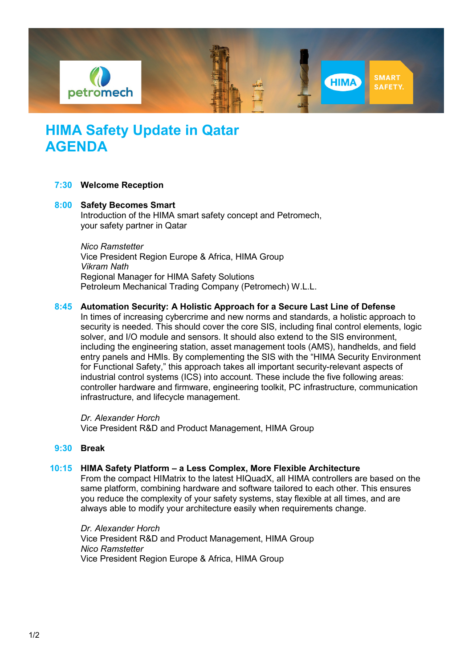

# **HIMA Safety Update in Qatar AGENDA**

## **7:30 Welcome Reception**

# **8:00 Safety Becomes Smart**

Introduction of the HIMA smart safety concept and Petromech, your safety partner in Qatar

#### *Nico Ramstetter*

Vice President Region Europe & Africa, HIMA Group *Vikram Nath* Regional Manager for HIMA Safety Solutions Petroleum Mechanical Trading Company (Petromech) W.L.L.

## **8:45 Automation Security: A Holistic Approach for a Secure Last Line of Defense**

In times of increasing cybercrime and new norms and standards, a holistic approach to security is needed. This should cover the core SIS, including final control elements, logic solver, and I/O module and sensors. It should also extend to the SIS environment, including the engineering station, asset management tools (AMS), handhelds, and field entry panels and HMIs. By complementing the SIS with the "HIMA Security Environment for Functional Safety," this approach takes all important security-relevant aspects of industrial control systems (ICS) into account. These include the five following areas: controller hardware and firmware, engineering toolkit, PC infrastructure, communication infrastructure, and lifecycle management.

*Dr. Alexander Horch* Vice President R&D and Product Management, HIMA Group

#### **9:30 Break**

# **10:15 HIMA Safety Platform – a Less Complex, More Flexible Architecture**

From the compact HIMatrix to the latest HIQuadX, all HIMA controllers are based on the same platform, combining hardware and software tailored to each other. This ensures you reduce the complexity of your safety systems, stay flexible at all times, and are always able to modify your architecture easily when requirements change.

*Dr. Alexander Horch* Vice President R&D and Product Management, HIMA Group *Nico Ramstetter* Vice President Region Europe & Africa, HIMA Group